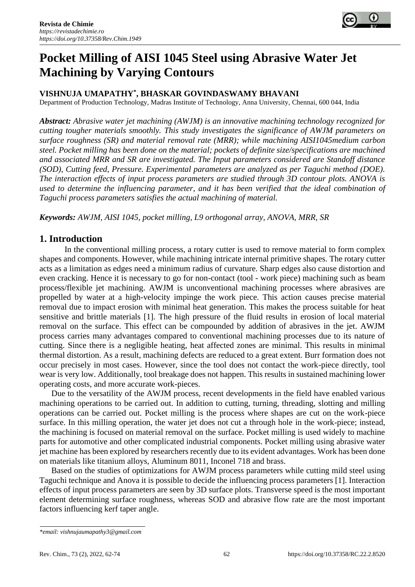

# **Pocket Milling of AISI 1045 Steel using Abrasive Water Jet Machining by Varying Contours**

## **VISHNUJA UMAPATHY\* , BHASKAR GOVINDASWAMY BHAVANI**

Department of Production Technology, Madras Institute of Technology, Anna University, Chennai, 600 044, India

*Abstract: Abrasive water jet machining (AWJM) is an innovative machining technology recognized for cutting tougher materials smoothly. This study investigates the significance of AWJM parameters on surface roughness (SR) and material removal rate (MRR); while machining AISI1045medium carbon steel. Pocket milling has been done on the material; pockets of definite size/specifications are machined and associated MRR and SR are investigated. The Input parameters considered are Standoff distance (SOD), Cutting feed, Pressure. Experimental parameters are analyzed as per Taguchi method (DOE). The interaction effects of input process parameters are studied through 3D contour plots. ANOVA is used to determine the influencing parameter, and it has been verified that the ideal combination of Taguchi process parameters satisfies the actual machining of material.* 

*Keywords: AWJM, AISI 1045, pocket milling, L9 orthogonal array, ANOVA, MRR, SR*

# **1. Introduction**

In the conventional milling process, a rotary cutter is used to remove material to form complex shapes and components. However, while machining intricate internal primitive shapes. The rotary cutter acts as a limitation as edges need a minimum radius of curvature. Sharp edges also cause distortion and even cracking. Hence it is necessary to go for non-contact (tool - work piece) machining such as beam process/flexible jet machining. AWJM is unconventional machining processes where abrasives are propelled by water at a high-velocity impinge the work piece. This action causes precise material removal due to impact erosion with minimal heat generation. This makes the process suitable for heat sensitive and brittle materials [1]. The high pressure of the fluid results in erosion of local material removal on the surface. This effect can be compounded by addition of abrasives in the jet. AWJM process carries many advantages compared to conventional machining processes due to its nature of cutting. Since there is a negligible heating, heat affected zones are minimal. This results in minimal thermal distortion. As a result, machining defects are reduced to a great extent. Burr formation does not occur precisely in most cases. However, since the tool does not contact the work-piece directly, tool wear is very low. Additionally, tool breakage does not happen. This results in sustained machining lower operating costs, and more accurate work-pieces.

Due to the versatility of the AWJM process, recent developments in the field have enabled various machining operations to be carried out. In addition to cutting, turning, threading, slotting and milling operations can be carried out. Pocket milling is the process where shapes are cut on the work-piece surface. In this milling operation, the water jet does not cut a through hole in the work-piece; instead, the machining is focused on material removal on the surface. Pocket milling is used widely to machine parts for automotive and other complicated industrial components. Pocket milling using abrasive water jet machine has been explored by researchers recently due to its evident advantages. Work has been done on materials like titanium alloys, Aluminum 8011, Inconel 718 and brass.

Based on the studies of optimizations for AWJM process parameters while cutting mild steel using Taguchi technique and Anova it is possible to decide the influencing process parameters [1]. Interaction effects of input process parameters are seen by 3D surface plots. Transverse speed is the most important element determining surface roughness, whereas SOD and abrasive flow rate are the most important factors influencing kerf taper angle.

*<sup>\*</sup>email: vishnujaumapathy3@gmail.com*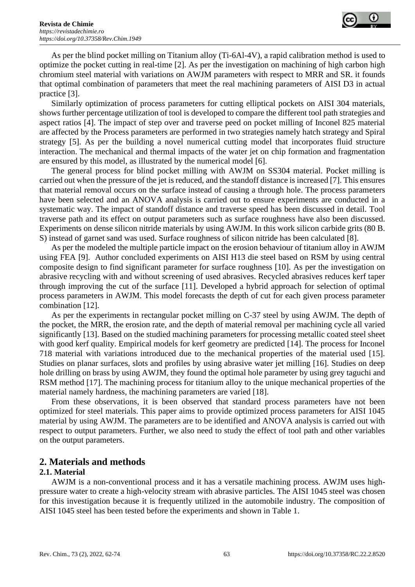

As per the blind pocket milling on Titanium alloy (Ti-6Al-4V), a rapid calibration method is used to optimize the pocket cutting in real-time [2]. As per the investigation on machining of high carbon high chromium steel material with variations on AWJM parameters with respect to MRR and SR. it founds that optimal combination of parameters that meet the real machining parameters of AISI D3 in actual practice [3].

Similarly optimization of process parameters for cutting elliptical pockets on AISI 304 materials, shows further percentage utilization of tool is developed to compare the different tool path strategies and aspect ratios [4]. The impact of step over and traverse peed on pocket milling of Inconel 825 material are affected by the Process parameters are performed in two strategies namely hatch strategy and Spiral strategy [5]. As per the building a novel numerical cutting model that incorporates fluid structure interaction. The mechanical and thermal impacts of the water jet on chip formation and fragmentation are ensured by this model, as illustrated by the numerical model [6].

The general process for blind pocket milling with AWJM on SS304 material. Pocket milling is carried out when the pressure of the jet is reduced, and the standoff distance is increased [7]. This ensures that material removal occurs on the surface instead of causing a through hole. The process parameters have been selected and an ANOVA analysis is carried out to ensure experiments are conducted in a systematic way. The impact of standoff distance and traverse speed has been discussed in detail. Tool traverse path and its effect on output parameters such as surface roughness have also been discussed. Experiments on dense silicon nitride materials by using AWJM. In this work silicon carbide grits (80 B. S) instead of garnet sand was used. Surface roughness of silicon nitride has been calculated [8].

As per the modeled the multiple particle impact on the erosion behaviour of titanium alloy in AWJM using FEA [9]. Author concluded experiments on AISI H13 die steel based on RSM by using central composite design to find significant parameter for surface roughness [10]. As per the investigation on abrasive recycling with and without screening of used abrasives. Recycled abrasives reduces kerf taper through improving the cut of the surface [11]. Developed a hybrid approach for selection of optimal process parameters in AWJM. This model forecasts the depth of cut for each given process parameter combination [12].

As per the experiments in rectangular pocket milling on C-37 steel by using AWJM. The depth of the pocket, the MRR, the erosion rate, and the depth of material removal per machining cycle all varied significantly [13]. Based on the studied machining parameters for processing metallic coated steel sheet with good kerf quality. Empirical models for kerf geometry are predicted [14]. The process for Inconel 718 material with variations introduced due to the mechanical properties of the material used [15]. Studies on planar surfaces, slots and profiles by using abrasive water jet milling [16]. Studies on deep hole drilling on brass by using AWJM, they found the optimal hole parameter by using grey taguchi and RSM method [17]. The machining process for titanium alloy to the unique mechanical properties of the material namely hardness, the machining parameters are varied [18].

From these observations, it is been observed that standard process parameters have not been optimized for steel materials. This paper aims to provide optimized process parameters for AISI 1045 material by using AWJM. The parameters are to be identified and ANOVA analysis is carried out with respect to output parameters. Further, we also need to study the effect of tool path and other variables on the output parameters.

## **2. Materials and methods**

## **2.1. Material**

AWJM is a non-conventional process and it has a versatile machining process. AWJM uses highpressure water to create a high-velocity stream with abrasive particles. The AISI 1045 steel was chosen for this investigation because it is frequently utilized in the automobile industry. The composition of AISI 1045 steel has been tested before the experiments and shown in Table 1.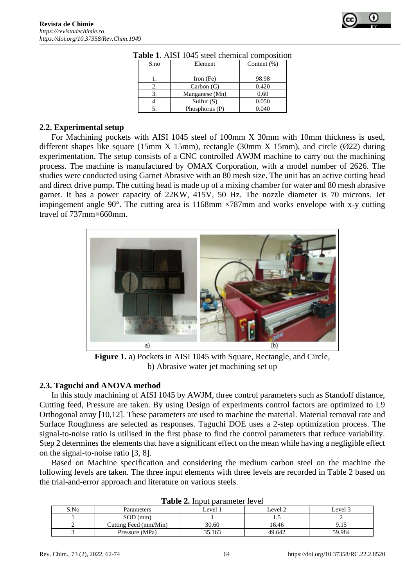

| <b>Table 1.</b> Alst 1049 steel chemical compositio |                |                |  |  |  |
|-----------------------------------------------------|----------------|----------------|--|--|--|
| S.no                                                | Element        | Content $(\%)$ |  |  |  |
|                                                     | Iron $(Fe)$    | 98.98          |  |  |  |
|                                                     | Carbon(C)      | 0.420          |  |  |  |
|                                                     | Manganese (Mn) | 0.60           |  |  |  |
|                                                     | Sulfur $(S)$   | 0.050          |  |  |  |
|                                                     | Phosphorus (P) | 0.040          |  |  |  |

#### **Table 1**. AISI 1045 steel chemical composition

#### **2.2. Experimental setup**

For Machining pockets with AISI 1045 steel of 100mm X 30mm with 10mm thickness is used, different shapes like square (15mm X 15mm), rectangle (30mm X 15mm), and circle ( $\emptyset$ 22) during experimentation. The setup consists of a CNC controlled AWJM machine to carry out the machining process. The machine is manufactured by OMAX Corporation, with a model number of 2626. The studies were conducted using Garnet Abrasive with an 80 mesh size. The unit has an active cutting head and direct drive pump. The cutting head is made up of a mixing chamber for water and 80 mesh abrasive garnet. It has a power capacity of 22KW, 415V, 50 Hz. The nozzle diameter is 70 microns. Jet impingement angle 90 $^{\circ}$ . The cutting area is 1168mm  $\times$ 787mm and works envelope with x-y cutting travel of 737mm×660mm.



**Figure 1.** a) Pockets in AISI 1045 with Square, Rectangle, and Circle, b) Abrasive water jet machining set up

## **2.3. Taguchi and ANOVA method**

In this study machining of AISI 1045 by AWJM, three control parameters such as Standoff distance, Cutting feed, Pressure are taken. By using Design of experiments control factors are optimized to L9 Orthogonal array [10,12]. These parameters are used to machine the material. Material removal rate and Surface Roughness are selected as responses. Taguchi DOE uses a 2-step optimization process. The signal-to-noise ratio is utilised in the first phase to find the control parameters that reduce variability. Step 2 determines the elements that have a significant effect on the mean while having a negligible effect on the signal-to-noise ratio [3, 8].

Based on Machine specification and considering the medium carbon steel on the machine the following levels are taken. The three input elements with three levels are recorded in Table 2 based on the trial-and-error approach and literature on various steels.

| S.No | Parameters            | evel <sup>1</sup> | evel 2 | ∟evel 3 |
|------|-----------------------|-------------------|--------|---------|
|      | $SOD$ (mm)            |                   | ن. 1   |         |
|      | Cutting Feed (mm/Min) | 30.60             | 16.46  | 7. I J  |
|      | Pressure (MPa)        | 35.163            | 49.642 | 59.984  |

**Table 2.** Input parameter level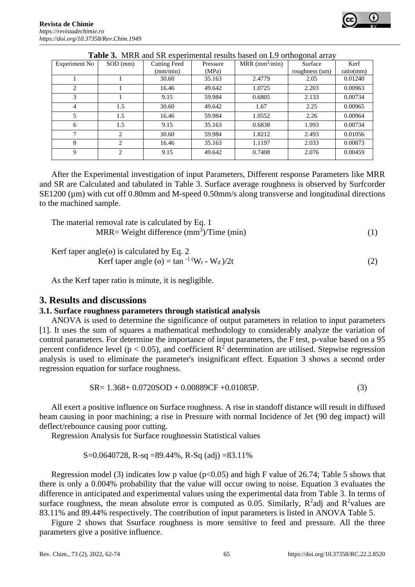|                |               |                     |          |                              | ັ              |           |
|----------------|---------------|---------------------|----------|------------------------------|----------------|-----------|
| Experiment No  | SOD (mm)      | <b>Cutting Feed</b> | Pressure | $MRR$ (mm <sup>3</sup> /min) | Surface        | Kerf      |
|                |               | (mm/min)            | (MPa)    |                              | roughness (um) | ratio(mm) |
|                |               | 30.60               | 35.163   | 2.4779                       | 2.05           | 0.01240   |
| $\overline{c}$ |               | 16.46               | 49.642   | 1.0725                       | 2.203          | 0.00963   |
| 3              |               | 9.15                | 59.984   | 0.6805                       | 2.133          | 0.00734   |
| 4              | 1.5           | 30.60               | 49.642   | 1.67                         | 2.25           | 0.00965   |
| 5              | 1.5           | 16.46               | 59.984   | 1.0552                       | 2.26           | 0.00964   |
| 6              | 1.5           | 9.15                | 35.163   | 0.6838                       | 1.993          | 0.00734   |
| $\mathbf{7}$   | 2             | 30.60               | 59.984   | 1.8212                       | 2.493          | 0.01056   |
| 8              | $\mathcal{D}$ | 16.46               | 35.163   | 1.1197                       | 2.033          | 0.00873   |
| 9              | 2             | 9.15                | 49.642   | 0.7408                       | 2.076          | 0.00459   |

**Table 3.** MRR and SR experimental results based on L9 orthogonal array

After the Experimental investigation of input Parameters, Different response Parameters like MRR and SR are Calculated and tabulated in Table 3. Surface average roughness is observed by Surfcorder SE1200 (µm) with cut off 0.80mm and M-speed 0.50mm/s along transverse and longitudinal directions to the machined sample.

The material removal rate is calculated by Eq. 1  $MRR = Weight difference (mm<sup>3</sup>)/Time (min)$  (1)

Kerf taper angle( $\Theta$ ) is calculated by Eq. 2 Kerf taper angle  $(\theta) = \tan^{-1} (W_t - W_d)/2t$  (2)

As the Kerf taper ratio is minute, it is negligible.

## **3. Results and discussions**

## **3.1. Surface roughness parameters through statistical analysis**

ANOVA is used to determine the significance of output parameters in relation to input parameters [1]. It uses the sum of squares a mathematical methodology to considerably analyze the variation of control parameters. For determine the importance of input parameters, the F test, p-value based on a 95 percent confidence level ( $p < 0.05$ ), and coefficient  $R^2$  determination are utilised. Stepwise regression analysis is used to eliminate the parameter's insignificant effect. Equation 3 shows a second order regression equation for surface roughness.

$$
SR = 1.368 + 0.0720SOD + 0.00889CF + 0.01085P.
$$
\n(3)

All exert a positive influence on Surface roughness. A rise in standoff distance will result in diffused beam causing in poor machining; a rise in Pressure with normal Incidence of Jet (90 deg impact) will deflect/rebounce causing poor cutting.

Regression Analysis for Surface roughnessin Statistical values

S=0.0640728, R-sq =89.44%, R-Sq (adj) =83.11%

Regression model (3) indicates low p value ( $p<0.05$ ) and high F value of 26.74; Table 5 shows that there is only a 0.004% probability that the value will occur owing to noise. Equation 3 evaluates the difference in anticipated and experimental values using the experimental data from Table 3. In terms of surface roughness, the mean absolute error is computed as 0.05. Similarly,  $R^2$ adj and  $R^2$ values are 83.11% and 89.44% respectively. The contribution of input parameters is listed in ANOVA Table 5.

Figure 2 shows that Ssurface roughness is more sensitive to feed and pressure. All the three parameters give a positive influence.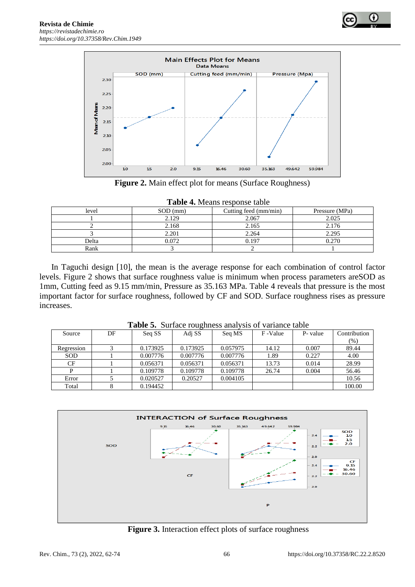



**Figure 2.** Main effect plot for means (Surface Roughness)

|  | <b>Table 4.</b> Means response table |
|--|--------------------------------------|
|--|--------------------------------------|

| $-$ 0000 - 0 $-$ 0 $-$ 0000 - 0000 - 0000 - 0000 - 0000 - 0000 - 0000 - 0000 - 0000 - 0000 - 0000 - 0000 - 0000 - 0000 - 0000 - 0000 - 0000 - 0000 - 0000 - 0000 - 0000 - 0000 - 0000 - 0000 - 0000 - 0000 - 0000 - 0000 - 00 |            |                       |                |  |  |  |
|-------------------------------------------------------------------------------------------------------------------------------------------------------------------------------------------------------------------------------|------------|-----------------------|----------------|--|--|--|
| level                                                                                                                                                                                                                         | $SOD$ (mm) | Cutting feed (mm/min) | Pressure (MPa) |  |  |  |
|                                                                                                                                                                                                                               | 2.129      |                       | 2.025          |  |  |  |
| 2.168                                                                                                                                                                                                                         |            | 2.165                 | 2.176          |  |  |  |
|                                                                                                                                                                                                                               | 2.201      | 2.264                 | 2.295          |  |  |  |
| Delta                                                                                                                                                                                                                         | 0.072      | 0.197                 | 0.270          |  |  |  |
| Rank                                                                                                                                                                                                                          |            |                       |                |  |  |  |

In Taguchi design [10], the mean is the average response for each combination of control factor levels. Figure 2 shows that surface roughness value is minimum when process parameters areSOD as 1mm, Cutting feed as 9.15 mm/min, Pressure as 35.163 MPa. Table 4 reveals that pressure is the most important factor for surface roughness, followed by CF and SOD. Surface roughness rises as pressure increases.

| $=$ $\cdots$ $\cdots$ $\cdots$ $\cdots$ $\cdots$<br>. |    |          |          |          |         |          |              |  |  |
|-------------------------------------------------------|----|----------|----------|----------|---------|----------|--------------|--|--|
| Source                                                | DF | Seq SS   | Adj SS   | Seq MS   | F-Value | P- value | Contribution |  |  |
|                                                       |    |          |          |          |         |          | (%)          |  |  |
| Regression                                            |    | 0.173925 | 0.173925 | 0.057975 | 14.12   | 0.007    | 89.44        |  |  |
| <b>SOD</b>                                            |    | 0.007776 | 0.007776 | 0.007776 | .89     | 0.227    | 4.00         |  |  |
| CF                                                    |    | 0.056371 | 0.056371 | 0.056371 | 13.73   | 0.014    | 28.99        |  |  |
| D                                                     |    | 0.109778 | 0.109778 | 0.109778 | 26.74   | 0.004    | 56.46        |  |  |
| Error                                                 |    | 0.020527 | 0.20527  | 0.004105 |         |          | 10.56        |  |  |
| Total                                                 |    | 0.194452 |          |          |         |          | 100.00       |  |  |

**Table 5.** Surface roughness analysis of variance table



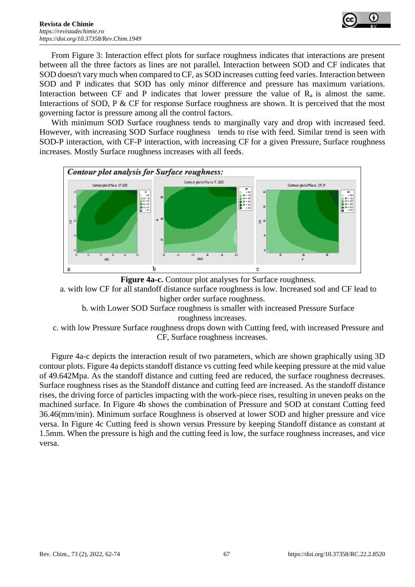

From Figure 3: Interaction effect plots for surface roughness indicates that interactions are present between all the three factors as lines are not parallel. Interaction between SOD and CF indicates that SOD doesn't vary much when compared to CF, as SOD increases cutting feed varies. Interaction between SOD and P indicates that SOD has only minor difference and pressure has maximum variations. Interaction between CF and P indicates that lower pressure the value of  $R_a$  is almost the same. Interactions of SOD, P & CF for response Surface roughness are shown. It is perceived that the most governing factor is pressure among all the control factors.

With minimum SOD Surface roughness tends to marginally vary and drop with increased feed. However, with increasing SOD Surface roughness tends to rise with feed. Similar trend is seen with SOD-P interaction, with CF-P interaction, with increasing CF for a given Pressure, Surface roughness increases. Mostly Surface roughness increases with all feeds.





a. with low CF for all standoff distance surface roughness is low. Increased sod and CF lead to higher order surface roughness.

b. with Lower SOD Surface roughness is smaller with increased Pressure Surface roughness increases.

c. with low Pressure Surface roughness drops down with Cutting feed, with increased Pressure and CF, Surface roughness increases.

Figure 4a-c depicts the interaction result of two parameters, which are shown graphically using 3D contour plots. Figure 4a depicts standoff distance vs cutting feed while keeping pressure at the mid value of 49.642Mpa. As the standoff distance and cutting feed are reduced, the surface roughness decreases. Surface roughness rises as the Standoff distance and cutting feed are increased. As the standoff distance rises, the driving force of particles impacting with the work-piece rises, resulting in uneven peaks on the machined surface. In Figure 4b shows the combination of Pressure and SOD at constant Cutting feed 36.46(mm/min). Minimum surface Roughness is observed at lower SOD and higher pressure and vice versa. In Figure 4c Cutting feed is shown versus Pressure by keeping Standoff distance as constant at 1.5mm. When the pressure is high and the cutting feed is low, the surface roughness increases, and vice versa.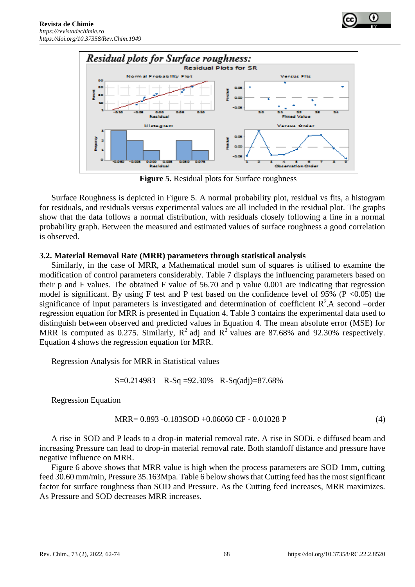



**Figure 5.** Residual plots for Surface roughness

Surface Roughness is depicted in Figure 5. A normal probability plot, residual vs fits, a histogram for residuals, and residuals versus experimental values are all included in the residual plot. The graphs show that the data follows a normal distribution, with residuals closely following a line in a normal probability graph. Between the measured and estimated values of surface roughness a good correlation is observed.

## **3.2. Material Removal Rate (MRR) parameters through statistical analysis**

Similarly, in the case of MRR, a Mathematical model sum of squares is utilised to examine the modification of control parameters considerably. Table 7 displays the influencing parameters based on their p and F values. The obtained F value of 56.70 and p value 0.001 are indicating that regression model is significant. By using F test and P test based on the confidence level of 95% ( $P < 0.05$ ) the significance of input parameters is investigated and determination of coefficient  $R^2$  A second –order regression equation for MRR is presented in Equation 4. Table 3 contains the experimental data used to distinguish between observed and predicted values in Equation 4. The mean absolute error (MSE) for MRR is computed as 0.275. Similarly,  $R^2$  adj and  $R^2$  values are 87.68% and 92.30% respectively. Equation 4 shows the regression equation for MRR.

Regression Analysis for MRR in Statistical values

$$
S = 0.214983 \quad R-Sq = 92.30\% \quad R-Sq(adj) = 87.68\%
$$

Regression Equation

$$
MRR = 0.893 - 0.183SOD + 0.06060 CF - 0.01028 P
$$
 (4)

A rise in SOD and P leads to a drop-in material removal rate. A rise in SODi. e diffused beam and increasing Pressure can lead to drop-in material removal rate. Both standoff distance and pressure have negative influence on MRR.

Figure 6 above shows that MRR value is high when the process parameters are SOD 1mm, cutting feed 30.60 mm/min, Pressure 35.163Mpa. Table 6 below shows that Cutting feed has the most significant factor for surface roughness than SOD and Pressure. As the Cutting feed increases, MRR maximizes. As Pressure and SOD decreases MRR increases.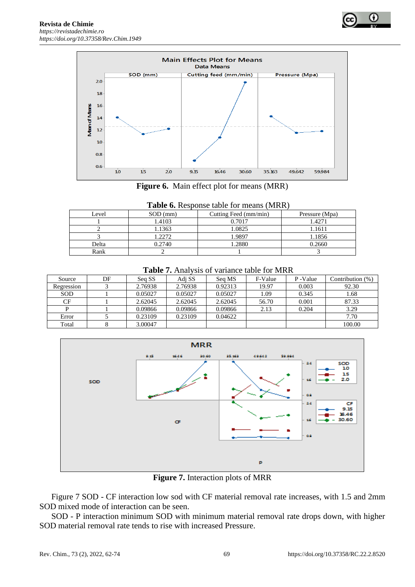



**Figure 6.** Main effect plot for means (MRR)

| <b>Table 6.</b> Response table for means (MRR) |  |  |
|------------------------------------------------|--|--|
|------------------------------------------------|--|--|

| Level  | $SOD$ (mm) | Cutting Feed (mm/min) | Pressure (Mpa) |  |  |  |  |
|--------|------------|-----------------------|----------------|--|--|--|--|
| 1.4103 |            | 0.7017                | 1.4271         |  |  |  |  |
|        | 1.1363     | 1.0825                | 1.1611         |  |  |  |  |
|        | 1.2272     | 1.9897                | 1.1856         |  |  |  |  |
| Delta  | 0.2740     | 1.2880                | 0.2660         |  |  |  |  |
| Rank   |            |                       |                |  |  |  |  |

**Table 7.** Analysis of variance table for MRR

| Source     | DF | Sea SS  | Adi SS  | Seq MS  | F-Value | P-Value | Contribution $(\%)$ |
|------------|----|---------|---------|---------|---------|---------|---------------------|
| Regression |    | 2.76938 | 2.76938 | 0.92313 | 19.97   | 0.003   | 92.30               |
| SOD        |    | 0.05027 | 0.05027 | 0.05027 | .09     | 0.345   | 1.68                |
| CF         |    | 2.62045 | 2.62045 | 2.62045 | 56.70   | 0.001   | 87.33               |
|            |    | 0.09866 | 0.09866 | 0.09866 | 2.13    | 0.204   | 3.29                |
| Error      |    | 0.23109 | 0.23109 | 0.04622 |         |         | 7.70                |
| Total      |    | 3.00047 |         |         |         |         | 100.00              |



**Figure 7.** Interaction plots of MRR

Figure 7 SOD - CF interaction low sod with CF material removal rate increases, with 1.5 and 2mm SOD mixed mode of interaction can be seen.

SOD - P interaction minimum SOD with minimum material removal rate drops down, with higher SOD material removal rate tends to rise with increased Pressure.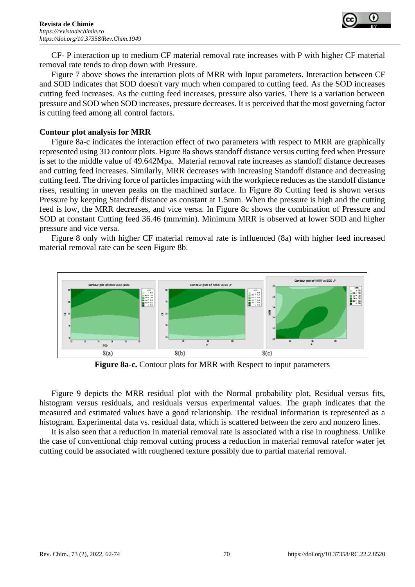

CF- P interaction up to medium CF material removal rate increases with P with higher CF material removal rate tends to drop down with Pressure.

Figure 7 above shows the interaction plots of MRR with Input parameters. Interaction between CF and SOD indicates that SOD doesn't vary much when compared to cutting feed. As the SOD increases cutting feed increases. As the cutting feed increases, pressure also varies. There is a variation between pressure and SOD when SOD increases, pressure decreases. It is perceived that the most governing factor is cutting feed among all control factors.

#### **Contour plot analysis for MRR**

Figure 8a-c indicates the interaction effect of two parameters with respect to MRR are graphically represented using 3D contour plots. Figure 8a shows standoff distance versus cutting feed when Pressure is set to the middle value of 49.642Mpa. Material removal rate increases as standoff distance decreases and cutting feed increases. Similarly, MRR decreases with increasing Standoff distance and decreasing cutting feed. The driving force of particles impacting with the workpiece reduces as the standoff distance rises, resulting in uneven peaks on the machined surface. In Figure 8b Cutting feed is shown versus Pressure by keeping Standoff distance as constant at 1.5mm. When the pressure is high and the cutting feed is low, the MRR decreases, and vice versa. In Figure 8c shows the combination of Pressure and SOD at constant Cutting feed 36.46 (mm/min). Minimum MRR is observed at lower SOD and higher pressure and vice versa.

Figure 8 only with higher CF material removal rate is influenced (8a) with higher feed increased material removal rate can be seen Figure 8b.



**Figure 8a-c.** Contour plots for MRR with Respect to input parameters

Figure 9 depicts the MRR residual plot with the Normal probability plot, Residual versus fits, histogram versus residuals, and residuals versus experimental values. The graph indicates that the measured and estimated values have a good relationship. The residual information is represented as a histogram. Experimental data vs. residual data, which is scattered between the zero and nonzero lines.

It is also seen that a reduction in material removal rate is associated with a rise in roughness. Unlike the case of conventional chip removal cutting process a reduction in material removal ratefor water jet cutting could be associated with roughened texture possibly due to partial material removal.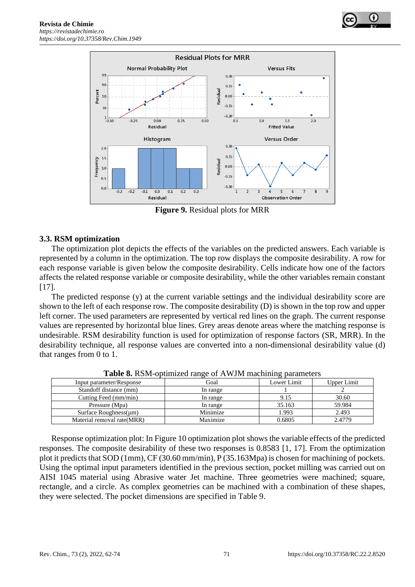



**Figure 9.** Residual plots for MRR

## **3.3. RSM optimization**

The optimization plot depicts the effects of the variables on the predicted answers. Each variable is represented by a column in the optimization. The top row displays the composite desirability. A row for each response variable is given below the composite desirability. Cells indicate how one of the factors affects the related response variable or composite desirability, while the other variables remain constant [17].

The predicted response (y) at the current variable settings and the individual desirability score are shown to the left of each response row. The composite desirability (D) is shown in the top row and upper left corner. The used parameters are represented by vertical red lines on the graph. The current response values are represented by horizontal blue lines. Grey areas denote areas where the matching response is undesirable. RSM desirability function is used for optimization of response factors (SR, MRR). In the desirability technique, all response values are converted into a non-dimensional desirability value (d) that ranges from 0 to 1.

| $ \frac{1}{2}$ $\frac{1}{2}$ $\frac{1}{2}$ $\frac{1}{2}$ $\frac{1}{2}$ $\frac{1}{2}$ $\frac{1}{2}$ $\frac{1}{2}$ $\frac{1}{2}$ $\frac{1}{2}$ $\frac{1}{2}$ $\frac{1}{2}$ $\frac{1}{2}$ $\frac{1}{2}$ $\frac{1}{2}$ $\frac{1}{2}$ $\frac{1}{2}$ $\frac{1}{2}$ $\frac{1}{2}$ $\frac{1}{2}$ $\frac{1}{2}$ $\frac{1}{2$<br>------------- |          |             |             |  |  |  |  |
|--------------------------------------------------------------------------------------------------------------------------------------------------------------------------------------------------------------------------------------------------------------------------------------------------------------------------------------|----------|-------------|-------------|--|--|--|--|
| Input parameter/Response                                                                                                                                                                                                                                                                                                             | Goal     | Lower Limit | Upper Limit |  |  |  |  |
| Standoff distance (mm)                                                                                                                                                                                                                                                                                                               | In range |             |             |  |  |  |  |
| Cutting Feed (mm/min)                                                                                                                                                                                                                                                                                                                | In range | 9.15        | 30.60       |  |  |  |  |
| Pressure (Mpa)                                                                                                                                                                                                                                                                                                                       | In range | 35.163      | 59.984      |  |  |  |  |
| Surface Roughness $(\mu m)$                                                                                                                                                                                                                                                                                                          | Minimize | 1.993       | 2.493       |  |  |  |  |
| Material removal rate (MRR)                                                                                                                                                                                                                                                                                                          | Maximize | 0.6805      | 2.4779      |  |  |  |  |

**Table 8.** RSM-optimized range of AWJM machining parameters

Response optimization plot: In Figure 10 optimization plot shows the variable effects of the predicted responses. The composite desirability of these two responses is 0.8583 [1, 17]. From the optimization plot it predicts that SOD (1mm), CF (30.60 mm/min), P (35.163Mpa) is chosen for machining of pockets. Using the optimal input parameters identified in the previous section, pocket milling was carried out on AISI 1045 material using Abrasive water Jet machine. Three geometries were machined; square, rectangle, and a circle. As complex geometries can be machined with a combination of these shapes, they were selected. The pocket dimensions are specified in Table 9.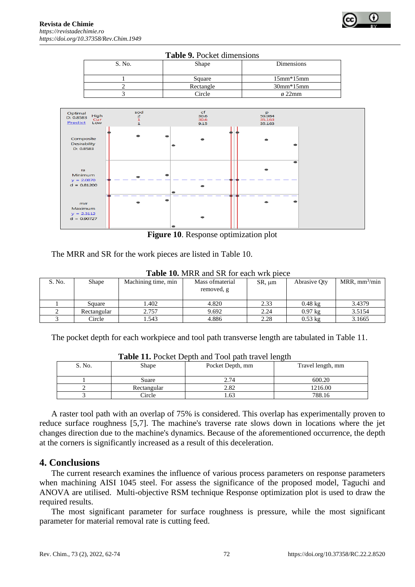

| <b>Table 9.</b> Pocket dimensions |           |                |  |  |  |
|-----------------------------------|-----------|----------------|--|--|--|
| S. No.                            | Shape     | Dimensions     |  |  |  |
|                                   | Square    | $15mm*15mm$    |  |  |  |
|                                   | Rectangle | $30mm*15mm$    |  |  |  |
|                                   | Circle    | $\varphi$ 22mm |  |  |  |



**Figure 10**. Response optimization plot

The MRR and SR for the work pieces are listed in Table 10.

| TUDIC TOI MINN UNG DINTOI CUCH WIIN DICCC |             |                     |                                |             |                   |                              |  |  |  |
|-------------------------------------------|-------------|---------------------|--------------------------------|-------------|-------------------|------------------------------|--|--|--|
| S. No.                                    | Shape       | Machining time, min | Mass of material<br>removed, g | $SR, \mu m$ | Abrasive Oty      | $MRR$ , mm <sup>3</sup> /min |  |  |  |
|                                           | Square      | .402                | 4.820                          | 2.33        | $0.48 \text{ kg}$ | 3.4379                       |  |  |  |
|                                           | Rectangular | 2.757               | 9.692                          | 2.24        | $0.97$ kg         | 3.5154                       |  |  |  |
|                                           | Circle      | .543                | 4.886                          | 2.28        | $0.53 \text{ kg}$ | 3.1665                       |  |  |  |

**Table 10.** MRR and SR for each wrk piece

The pocket depth for each workpiece and tool path transverse length are tabulated in Table 11.

| <b>THEIR TIP I</b> OCKCE DODIN AND TOOI DAMI HAVE ICHEMI |             |                  |                   |
|----------------------------------------------------------|-------------|------------------|-------------------|
| S. No.                                                   | Shape       | Pocket Depth, mm | Travel length, mm |
|                                                          | Suare       | 2.74             | 600.20            |
|                                                          | Rectangular | 2.82             | 1216.00           |
|                                                          | Circle      | .63              | 788.16            |

**Table 11.** Pocket Depth and Tool path travel length

A raster tool path with an overlap of 75% is considered. This overlap has experimentally proven to reduce surface roughness [5,7]. The machine's traverse rate slows down in locations where the jet changes direction due to the machine's dynamics. Because of the aforementioned occurrence, the depth at the corners is significantly increased as a result of this deceleration.

# **4. Conclusions**

The current research examines the influence of various process parameters on response parameters when machining AISI 1045 steel. For assess the significance of the proposed model, Taguchi and ANOVA are utilised. Multi-objective RSM technique Response optimization plot is used to draw the required results.

The most significant parameter for surface roughness is pressure, while the most significant parameter for material removal rate is cutting feed.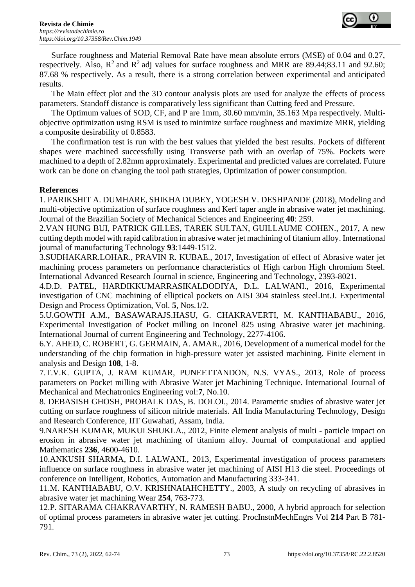

Surface roughness and Material Removal Rate have mean absolute errors (MSE) of 0.04 and 0.27, respectively. Also,  $R^2$  and  $R^2$  adj values for surface roughness and MRR are 89.44;83.11 and 92.60; 87.68 % respectively. As a result, there is a strong correlation between experimental and anticipated results.

The Main effect plot and the 3D contour analysis plots are used for analyze the effects of process parameters. Standoff distance is comparatively less significant than Cutting feed and Pressure.

The Optimum values of SOD, CF, and P are 1mm, 30.60 mm/min, 35.163 Mpa respectively. Multiobjective optimization using RSM is used to minimize surface roughness and maximize MRR, yielding a composite desirability of 0.8583.

The confirmation test is run with the best values that yielded the best results. Pockets of different shapes were machined successfully using Transverse path with an overlap of 75%. Pockets were machined to a depth of 2.82mm approximately. Experimental and predicted values are correlated. Future work can be done on changing the tool path strategies, Optimization of power consumption.

## **References**

1. PARIKSHIT A. DUMHARE, SHIKHA DUBEY, YOGESH V. DESHPANDE (2018), Modeling and multi-objective optimization of surface roughness and Kerf taper angle in abrasive water jet machining. Journal of the Brazilian Society of Mechanical Sciences and Engineering **40**: 259.

2.VAN HUNG BUI, PATRICK GILLES, TAREK SULTAN, GUILLAUME COHEN., 2017, A new cutting depth model with rapid calibration in abrasive water jet machining of titanium alloy. International journal of manufacturing Technology **93**:1449-1512.

3.SUDHAKARR.LOHAR., PRAVIN R. KUBAE., 2017, Investigation of effect of Abrasive water jet machining process parameters on performance characteristics of High carbon High chromium Steel. International Advanced Research Journal in science, Engineering and Technology, 2393-8021.

4.D.D. PATEL, HARDIKKUMARRASIKALDODIYA, D.L. LALWANI., 2016, Experimental investigation of CNC machining of elliptical pockets on AISI 304 stainless steel.Int.J. Experimental Design and Process Optimization, Vol. **5**, Nos.1/2.

5.U.GOWTH A.M., BASAWARAJS.HASU, G. CHAKRAVERTI, M. KANTHABABU., 2016, Experimental Investigation of Pocket milling on Inconel 825 using Abrasive water jet machining. International Journal of current Engineering and Technology, 2277-4106.

6.Y. AHED, C. ROBERT, G. GERMAIN, A. AMAR., 2016, Development of a numerical model for the understanding of the chip formation in high-pressure water jet assisted machining. Finite element in analysis and Design **108**, 1-8.

7.T.V.K. GUPTA, J. RAM KUMAR, PUNEETTANDON, N.S. VYAS., 2013, Role of process parameters on Pocket milling with Abrasive Water jet Machining Technique. International Journal of Mechanical and Mechatronics Engineering vol:**7**, No.10.

8. DEBASISH GHOSH, PROBALK DAS, B. DOLOI., 2014. Parametric studies of abrasive water jet cutting on surface roughness of silicon nitride materials. All India Manufacturing Technology, Design and Research Conference, IIT Guwahati, Assam, India.

9.NARESH KUMAR, MUKULSHUKLA., 2012, Finite element analysis of multi - particle impact on erosion in abrasive water jet machining of titanium alloy. Journal of computational and applied Mathematics **236**, 4600-4610.

10.ANKUSH SHARMA, D.I. LALWANI., 2013, Experimental investigation of process parameters influence on surface roughness in abrasive water jet machining of AISI H13 die steel. Proceedings of conference on Intelligent, Robotics, Automation and Manufacturing 333-341.

11.M. KANTHABABU, O.V. KRISHNAIAHCHETTY., 2003, A study on recycling of abrasives in abrasive water jet machining Wear **254**, 763-773.

12.P. SITARAMA CHAKRAVARTHY, N. RAMESH BABU., 2000, A hybrid approach for selection of optimal process parameters in abrasive water jet cutting. ProcInstnMechEngrs Vol **214** Part B 781- 791.